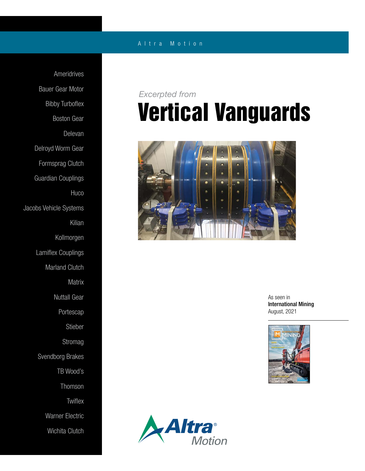### A l t r a M o t i o n

Ameridrives Bauer Gear Motor Bibby Turboflex Boston Gear Delevan Delroyd Worm Gear Formsprag Clutch Guardian Couplings **Huco** Jacobs Vehicle Systems Kilian Kollmorgen Lamiflex Couplings Marland Clutch Matrix Nuttall Gear Portescap Stieber Stromag Svendborg Brakes TB Wood's Thomson **Twiflex** Warner Electric Wichita Clutch

## Vertical Vanguards *Excerpted from*



As seen in International Mining August, 2021



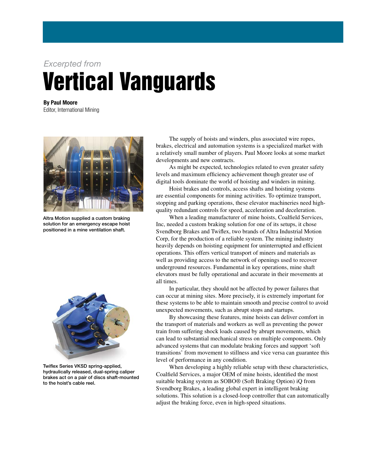### *Excerpted from*

# Vertical Vanguards

By Paul Moore Editor, International Mining



Altra Motion supplied a custom braking solution for an emergency escape hoist positioned in a mine ventilation shaft.



Twiflex Series VKSD spring-applied, hydraulically released, dual-spring caliper brakes act on a pair of discs shaft-mounted to the hoist's cable reel.

The supply of hoists and winders, plus associated wire ropes, brakes, electrical and automation systems is a specialized market with a relatively small number of players. Paul Moore looks at some market developments and new contracts.

As might be expected, technologies related to even greater safety levels and maximum efficiency achievement though greater use of digital tools dominate the world of hoisting and winders in mining.

Hoist brakes and controls, access shafts and hoisting systems are essential components for mining activities. To optimize transport, stopping and parking operations, these elevator machineries need highquality redundant controls for speed, acceleration and deceleration.

When a leading manufacturer of mine hoists, Coalfield Services, Inc, needed a custom braking solution for one of its setups, it chose Svendborg Brakes and Twiflex, two brands of Altra Industrial Motion Corp, for the production of a reliable system. The mining industry heavily depends on hoisting equipment for uninterrupted and efficient operations. This offers vertical transport of miners and materials as well as providing access to the network of openings used to recover underground resources. Fundamental in key operations, mine shaft elevators must be fully operational and accurate in their movements at all times.

In particular, they should not be affected by power failures that can occur at mining sites. More precisely, it is extremely important for these systems to be able to maintain smooth and precise control to avoid unexpected movements, such as abrupt stops and startups.

By showcasing these features, mine hoists can deliver comfort in the transport of materials and workers as well as preventing the power train from suffering shock loads caused by abrupt movements, which can lead to substantial mechanical stress on multiple components. Only advanced systems that can modulate braking forces and support 'soft transitions' from movement to stillness and vice versa can guarantee this level of performance in any condition.

When developing a highly reliable setup with these characteristics, Coalfield Services, a major OEM of mine hoists, identified the most suitable braking system as SOBO® (Soft Braking Option) iQ from Svendborg Brakes, a leading global expert in intelligent braking solutions. This solution is a closed-loop controller that can automatically adjust the braking force, even in high-speed situations.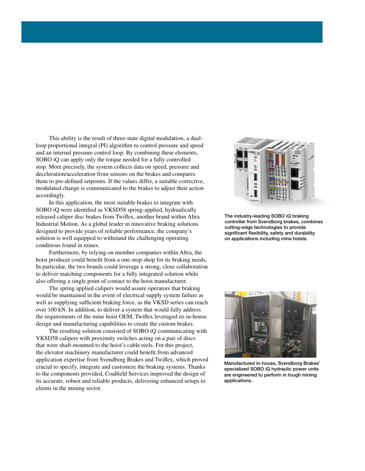This ability is the result of three-state digital modulation, a dualloop proportional integral (PI) algorithm to control pressure and speed and an internal pressure control loop. By combining these elements, SOBO iQ can apply only the torque needed for a fully controlled stop. More precisely, the system collects data on speed, pressure and deceleration/acceleration from sensors on the brakes and compares them to pre-defined setpoints. If the values differ, a suitable corrective, modulated change is communicated to the brakes to adjust their action accordingly.

In this application, the most suitable brakes to integrate with SOBO iQ were identified as VKSD58 spring-applied, hydraulically released caliper disc brakes from Twiflex, another brand within Altra Industrial Motion. As a global leader in innovative braking solutions designed to provide years of reliable performance, the company's solution is well equipped to withstand the challenging operating conditions found in mines.

Furthermore, by relying on member companies within Altra, the hoist producer could benefit from a one-stop-shop for its braking needs. In particular, the two brands could leverage a strong, close collaboration to deliver matching components for a fully integrated solution while also offering a single point of contact to the hoist manufacturer.

The spring applied calipers would assure operators that braking would be maintained in the event of electrical supply system failure as well as supplying sufficient braking force, as the VKSD series can reach over 100 kN. In addition, to deliver a system that would fully address the requirements of the mine hoist OEM, Twiflex leveraged its in-house design and manufacturing capabilities to create the custom brakes.

The resulting solution consisted of SOBO iQ communicating with VKSD58 calipers with proximity switches acting on a pair of discs that were shaft-mounted to the hoist's cable reels. For this project, the elevator machinery manufacturer could benefit from advanced application expertise from Svendborg Brakes and Twiflex, which proved crucial to specify, integrate and customize the braking systems. Thanks to the components provided, Coalfield Services improved the design of its accurate, robust and reliable products, delivering enhanced setups to clients in the mining sector.



The industry-leading SOBO iQ braking controller from Svendborg brakes, combines cutting-edge technologies to provide significant flexibility, safety and durability on applications including mine hoists.



Manufactured in-house, Svendborg Brakes' specialized SOBO iQ hydraulic power units are engineered to perform in tough mining applications.